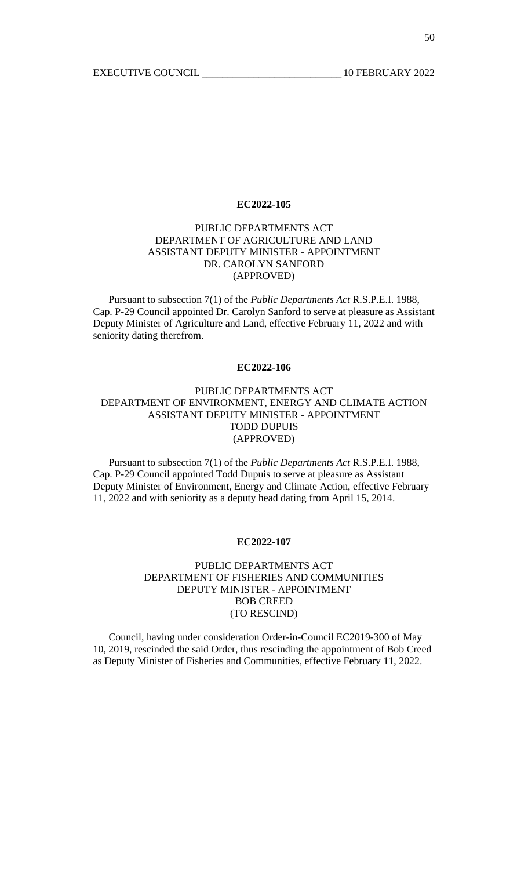# PUBLIC DEPARTMENTS ACT DEPARTMENT OF AGRICULTURE AND LAND ASSISTANT DEPUTY MINISTER - APPOINTMENT DR. CAROLYN SANFORD (APPROVED)

 Pursuant to subsection 7(1) of the *Public Departments Act* R.S.P.E.I. 1988, Cap. P-29 Council appointed Dr. Carolyn Sanford to serve at pleasure as Assistant Deputy Minister of Agriculture and Land, effective February 11, 2022 and with seniority dating therefrom.

#### **EC2022-106**

# PUBLIC DEPARTMENTS ACT DEPARTMENT OF ENVIRONMENT, ENERGY AND CLIMATE ACTION ASSISTANT DEPUTY MINISTER - APPOINTMENT TODD DUPUIS (APPROVED)

 Pursuant to subsection 7(1) of the *Public Departments Act* R.S.P.E.I. 1988, Cap. P-29 Council appointed Todd Dupuis to serve at pleasure as Assistant Deputy Minister of Environment, Energy and Climate Action, effective February 11, 2022 and with seniority as a deputy head dating from April 15, 2014.

#### **EC2022-107**

## PUBLIC DEPARTMENTS ACT DEPARTMENT OF FISHERIES AND COMMUNITIES DEPUTY MINISTER - APPOINTMENT BOB CREED (TO RESCIND)

 Council, having under consideration Order-in-Council EC2019-300 of May 10, 2019, rescinded the said Order, thus rescinding the appointment of Bob Creed as Deputy Minister of Fisheries and Communities, effective February 11, 2022.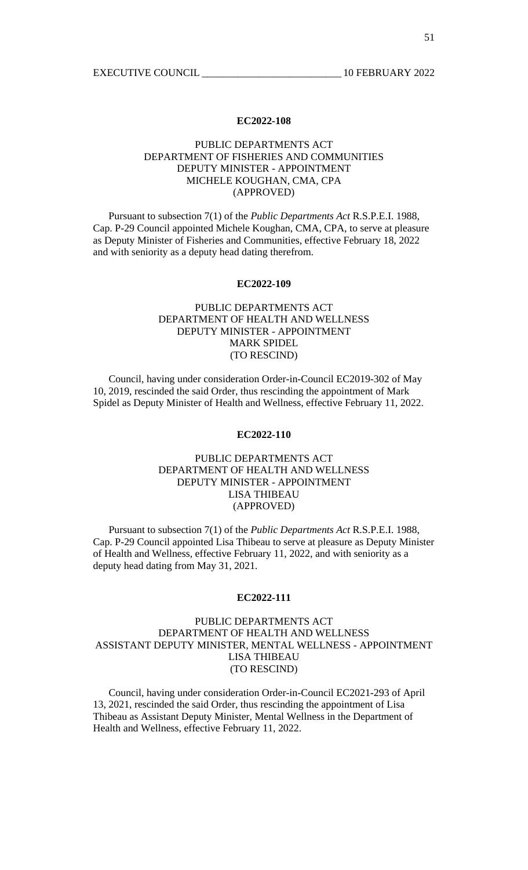### PUBLIC DEPARTMENTS ACT DEPARTMENT OF FISHERIES AND COMMUNITIES DEPUTY MINISTER - APPOINTMENT MICHELE KOUGHAN, CMA, CPA (APPROVED)

 Pursuant to subsection 7(1) of the *Public Departments Act* R.S.P.E.I. 1988, Cap. P-29 Council appointed Michele Koughan, CMA, CPA, to serve at pleasure as Deputy Minister of Fisheries and Communities, effective February 18, 2022 and with seniority as a deputy head dating therefrom.

#### **EC2022-109**

# PUBLIC DEPARTMENTS ACT DEPARTMENT OF HEALTH AND WELLNESS DEPUTY MINISTER - APPOINTMENT MARK SPIDEL (TO RESCIND)

 Council, having under consideration Order-in-Council EC2019-302 of May 10, 2019, rescinded the said Order, thus rescinding the appointment of Mark Spidel as Deputy Minister of Health and Wellness, effective February 11, 2022.

#### **EC2022-110**

#### PUBLIC DEPARTMENTS ACT DEPARTMENT OF HEALTH AND WELLNESS DEPUTY MINISTER - APPOINTMENT LISA THIBEAU (APPROVED)

 Pursuant to subsection 7(1) of the *Public Departments Act* R.S.P.E.I. 1988, Cap. P-29 Council appointed Lisa Thibeau to serve at pleasure as Deputy Minister of Health and Wellness, effective February 11, 2022, and with seniority as a deputy head dating from May 31, 2021.

#### **EC2022-111**

### PUBLIC DEPARTMENTS ACT DEPARTMENT OF HEALTH AND WELLNESS ASSISTANT DEPUTY MINISTER, MENTAL WELLNESS - APPOINTMENT LISA THIBEAU (TO RESCIND)

 Council, having under consideration Order-in-Council EC2021-293 of April 13, 2021, rescinded the said Order, thus rescinding the appointment of Lisa Thibeau as Assistant Deputy Minister, Mental Wellness in the Department of Health and Wellness, effective February 11, 2022.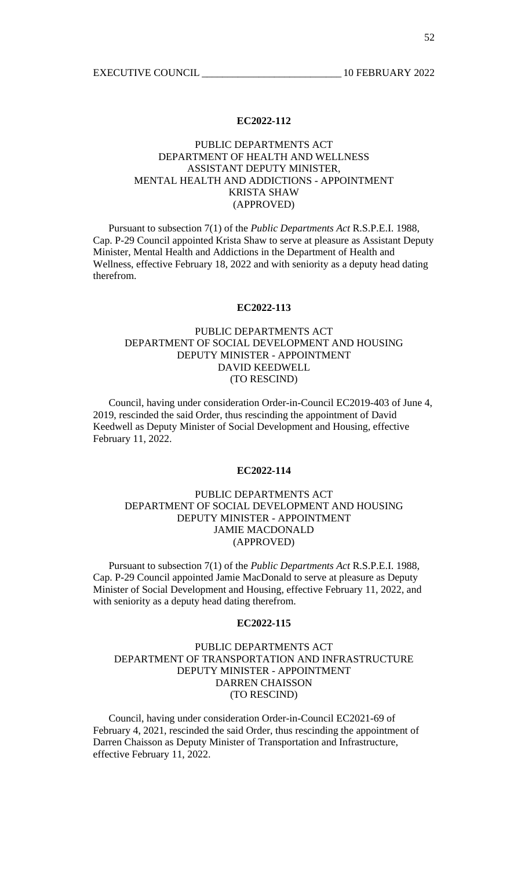# PUBLIC DEPARTMENTS ACT DEPARTMENT OF HEALTH AND WELLNESS ASSISTANT DEPUTY MINISTER, MENTAL HEALTH AND ADDICTIONS - APPOINTMENT KRISTA SHAW (APPROVED)

 Pursuant to subsection 7(1) of the *Public Departments Act* R.S.P.E.I. 1988, Cap. P-29 Council appointed Krista Shaw to serve at pleasure as Assistant Deputy Minister, Mental Health and Addictions in the Department of Health and Wellness, effective February 18, 2022 and with seniority as a deputy head dating therefrom.

#### **EC2022-113**

# PUBLIC DEPARTMENTS ACT DEPARTMENT OF SOCIAL DEVELOPMENT AND HOUSING DEPUTY MINISTER - APPOINTMENT DAVID KEEDWELL (TO RESCIND)

 Council, having under consideration Order-in-Council EC2019-403 of June 4, 2019, rescinded the said Order, thus rescinding the appointment of David Keedwell as Deputy Minister of Social Development and Housing, effective February 11, 2022.

#### **EC2022-114**

# PUBLIC DEPARTMENTS ACT DEPARTMENT OF SOCIAL DEVELOPMENT AND HOUSING DEPUTY MINISTER - APPOINTMENT JAMIE MACDONALD (APPROVED)

 Pursuant to subsection 7(1) of the *Public Departments Act* R.S.P.E.I. 1988, Cap. P-29 Council appointed Jamie MacDonald to serve at pleasure as Deputy Minister of Social Development and Housing, effective February 11, 2022, and with seniority as a deputy head dating therefrom.

#### **EC2022-115**

## PUBLIC DEPARTMENTS ACT DEPARTMENT OF TRANSPORTATION AND INFRASTRUCTURE DEPUTY MINISTER - APPOINTMENT DARREN CHAISSON (TO RESCIND)

 Council, having under consideration Order-in-Council EC2021-69 of February 4, 2021, rescinded the said Order, thus rescinding the appointment of Darren Chaisson as Deputy Minister of Transportation and Infrastructure, effective February 11, 2022.